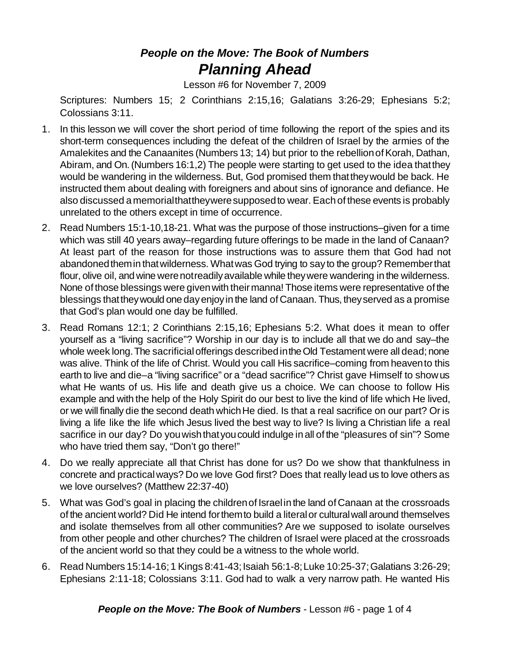## *People on the Move: The Book of Numbers Planning Ahead*

Lesson #6 for November 7, 2009

Scriptures: Numbers 15; 2 Corinthians 2:15,16; Galatians 3:26-29; Ephesians 5:2; Colossians 3:11.

- 1. In this lesson we will cover the short period of time following the report of the spies and its short-term consequences including the defeat of the children of Israel by the armies of the Amalekites and the Canaanites (Numbers 13; 14) but prior to the rebellion of Korah, Dathan, Abiram, and On.(Numbers 16:1,2) The people were starting to get used to the idea thatthey would be wandering in the wilderness. But, God promised them thattheywould be back. He instructed them about dealing with foreigners and about sins of ignorance and defiance. He also discussed amemorialthattheyweresupposedto wear. Eachof these events is probably unrelated to the others except in time of occurrence.
- 2. Read Numbers 15:1-10,18-21. What was the purpose of those instructions–given for a time which was still 40 years away–regarding future offerings to be made in the land of Canaan? At least part of the reason for those instructions was to assure them that God had not abandoned them in that wilderness. What was God trying to say to the group? Remember that flour, olive oil, and wine were not readily available while they were wandering in the wilderness. None of those blessings were given with their manna! Those items were representative of the blessings thattheywould one dayenjoyin the land of Canaan. Thus, theyserved as a promise that God's plan would one day be fulfilled.
- 3. Read Romans 12:1; 2 Corinthians 2:15,16; Ephesians 5:2. What does it mean to offer yourself as a "living sacrifice"? Worship in our day is to include all that we do and say–the whole week long. The sacrificial offerings described in the Old Testament were all dead; none was alive. Think of the life of Christ. Would you call His sacrifice–coming from heavento this earth to live and die–a "living sacrifice" or a "dead sacrifice"? Christ gave Himself to showus what He wants of us. His life and death give us a choice. We can choose to follow His example and with the help of the Holy Spirit do our best to live the kind of life which He lived, or we will finally die the second death which He died. Is that a real sacrifice on our part? Or is living a life like the life which Jesus lived the best way to live? Is living a Christian life a real sacrifice in our day? Do you wish that you could indulge in all of the "pleasures of sin"? Some who have tried them say, "Don't go there!"
- 4. Do we really appreciate all that Christ has done for us? Do we show that thankfulness in concrete and practicalways? Do we love God first? Does that really lead us to love others as we love ourselves? (Matthew 22:37-40)
- 5. What was God's goal in placing the childrenof Israel in the land of Canaan at the crossroads of the ancient world? Did He intend forthemto build a literalor culturalwall around themselves and isolate themselves from all other communities? Are we supposed to isolate ourselves from other people and other churches? The children of Israel were placed at the crossroads of the ancient world so that they could be a witness to the whole world.
- 6. Read Numbers 15:14-16; 1 Kings 8:41-43; Isaiah 56:1-8; Luke 10:25-37; Galatians 3:26-29; Ephesians 2:11-18; Colossians 3:11. God had to walk a very narrow path. He wanted His

**People on the Move: The Book of Numbers** - Lesson #6 - page 1 of 4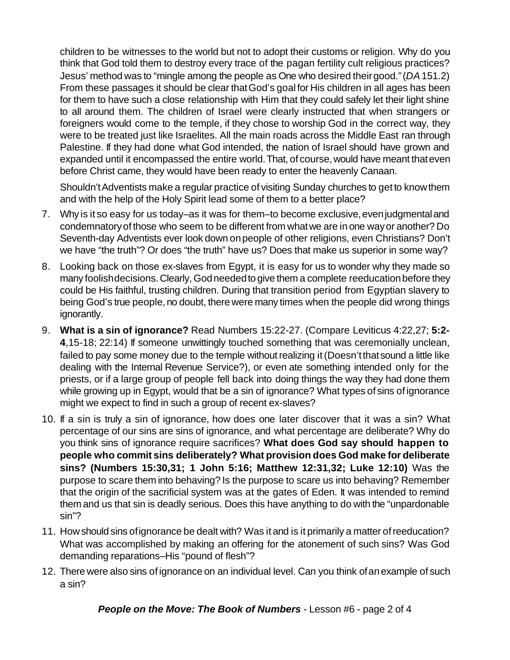children to be witnesses to the world but not to adopt their customs or religion. Why do you think that God told them to destroy every trace of the pagan fertility cult religious practices? Jesus' method was to "mingle among the people as One who desired theirgood."(*DA*151.2) From these passages it should be clear thatGod's goalfor His children in all ages has been for them to have such a close relationship with Him that they could safely let their light shine to all around them. The children of Israel were clearly instructed that when strangers or foreigners would come to the temple, if they chose to worship God in the correct way, they were to be treated just like Israelites. All the main roads across the Middle East ran through Palestine. If they had done what God intended, the nation of Israel should have grown and expanded until it encompassed the entire world.That, of course,would have meant thateven before Christ came, they would have been ready to enter the heavenly Canaan.

Shouldn'tAdventists make a regular practice of visiting Sunday churches to get to knowthem and with the help of the Holy Spirit lead some of them to a better place?

- 7. Why is it so easy for us today–as it was for them–to become exclusive, even judgmental and condemnatoryof those who seem to be different from whatwe are in one wayor another? Do Seventh-day Adventists ever look down onpeople of other religions, even Christians? Don't we have "the truth"? Or does "the truth" have us? Does that make us superior in some way?
- 8. Looking back on those ex-slaves from Egypt, it is easy for us to wonder why they made so many foolishdecisions.Clearly, Godneededto give them a complete reeducationbefore they could be His faithful, trusting children. During that transition period from Egyptian slavery to being God's true people, no doubt, there were many times when the people did wrong things ignorantly.
- 9. **What is a sin of ignorance?** Read Numbers 15:22-27. (Compare Leviticus 4:22,27; **5:2- 4**,15-18; 22:14) If someone unwittingly touched something that was ceremonially unclean, failed to pay some money due to the temple without realizing it (Doesn't that sound a little like dealing with the Internal Revenue Service?), or even ate something intended only for the priests, or if a large group of people fell back into doing things the way they had done them while growing up in Egypt, would that be a sin of ignorance? What types of sins of ignorance might we expect to find in such a group of recent ex-slaves?
- 10. If a sin is truly a sin of ignorance, how does one later discover that it was a sin? What percentage of our sins are sins of ignorance, and what percentage are deliberate? Why do you think sins of ignorance require sacrifices? **What does God say should happen to people who commit sins deliberately? What provision does God make for deliberate sins? (Numbers 15:30,31; 1 John 5:16; Matthew 12:31,32; Luke 12:10)** Was the purpose to scare them into behaving? Is the purpose to scare us into behaving? Remember that the origin of the sacrificial system was at the gates of Eden. It was intended to remind them and us that sin is deadly serious. Does this have anything to do with the "unpardonable sin"?
- 11. Howshould sins ofignorance be dealt with? Was it and is it primarily a matter ofreeducation? What was accomplished by making an offering for the atonement of such sins? Was God demanding reparations–His "pound of flesh"?
- 12. There were also sins of ignorance on an individual level. Can you think ofanexample of such a sin?

*People on the Move: The Book of Numbers* - Lesson #6 - page 2 of 4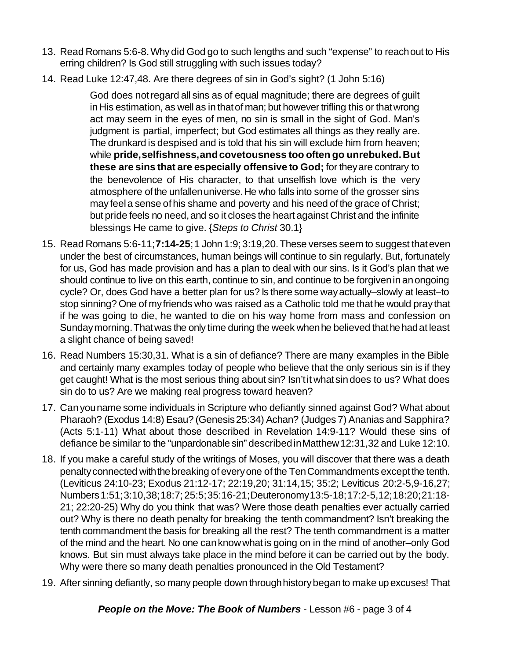- 13. Read Romans 5:6-8.Why did God go to such lengths and such "expense" to reachout to His erring children? Is God still struggling with such issues today?
- 14. Read Luke 12:47,48. Are there degrees of sin in God's sight? (1 John 5:16)

God does notregard all sins as of equal magnitude; there are degrees of guilt in His estimation, as well as in that of man; but however trifling this or that wrong act may seem in the eyes of men, no sin is small in the sight of God. Man's judgment is partial, imperfect; but God estimates all things as they really are. The drunkard is despised and is told that his sin will exclude him from heaven; while **pride,selfishness,andcovetousness too often go unrebuked.But these are sins that are especially offensive to God;** for theyare contrary to the benevolence of His character, to that unselfish love which is the very atmosphere of the unfallen universe. He who falls into some of the grosser sins mayfeela sense of his shame and poverty and his need of the grace of Christ; but pride feels no need, and so it closes the heart against Christ and the infinite blessings He came to give. {*Steps to Christ* 30.1}

- 15. Read Romans 5:6-11;**7:14-25**;1 John 1:9;3:19,20.These verses seem to suggest thateven under the best of circumstances, human beings will continue to sin regularly. But, fortunately for us, God has made provision and has a plan to deal with our sins. Is it God's plan that we should continue to live on this earth, continue to sin, and continue to be forgivenin anongoing cycle? Or, does God have a better plan for us? Is there some wayactually–slowly at least–to stop sinning? One of myfriends who was raised as a Catholic told me thathe would praythat if he was going to die, he wanted to die on his way home from mass and confession on Sunday morning. That was the only time during the week when he believed that he had at least a slight chance of being saved!
- 16. Read Numbers 15:30,31. What is a sin of defiance? There are many examples in the Bible and certainly many examples today of people who believe that the only serious sin is if they get caught! What is the most serious thing about sin? Isn'tit whatsindoes to us? What does sin do to us? Are we making real progress toward heaven?
- 17. Canyouname some individuals in Scripture who defiantly sinned against God? What about Pharaoh? (Exodus 14:8) Esau? (Genesis25:34) Achan? (Judges 7) Ananias and Sapphira? (Acts 5:1-11) What about those described in Revelation 14:9-11? Would these sins of defiance be similar to the "unpardonable sin" describedinMatthew12:31,32 and Luke 12:10.
- 18. If you make a careful study of the writings of Moses, you will discover that there was a death penalty connected with the breaking of every one of the Ten Commandments except the tenth. (Leviticus 24:10-23; Exodus 21:12-17; 22:19,20; 31:14,15; 35:2; Leviticus 20:2-5,9-16,27; Numbers1:51;3:10,38;18:7;25:5;35:16-21;Deuteronomy13:5-18;17:2-5,12;18:20;21:18- 21; 22:20-25) Why do you think that was? Were those death penalties ever actually carried out? Why is there no death penalty for breaking the tenth commandment? Isn't breaking the tenth commandment the basis for breaking all the rest? The tenth commandment is a matter of the mind and the heart. No one canknowwhatis going on in the mind of another–only God knows. But sin must always take place in the mind before it can be carried out by the body. Why were there so many death penalties pronounced in the Old Testament?
- 19. After sinning defiantly, so many people down throughhistorybeganto make upexcuses! That

*People on the Move: The Book of Numbers* - Lesson #6 - page 3 of 4